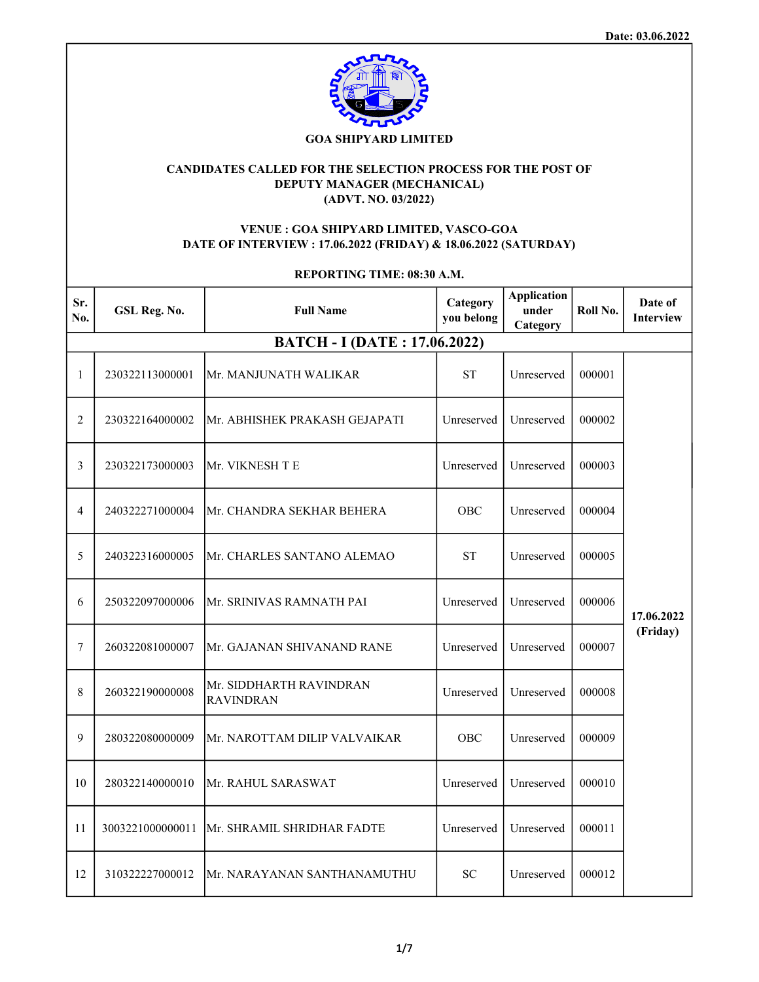

## GOA SHIPYARD LIMITED

# CANDIDATES CALLED FOR THE SELECTION PROCESS FOR THE POST OF DEPUTY MANAGER (MECHANICAL) (ADVT. NO. 03/2022)

## VENUE : GOA SHIPYARD LIMITED, VASCO-GOA DATE OF INTERVIEW : 17.06.2022 (FRIDAY) & 18.06.2022 (SATURDAY)

| REPORTING TIME: 08:30 A.M. |                  |                                             |                        |                                         |          |                             |
|----------------------------|------------------|---------------------------------------------|------------------------|-----------------------------------------|----------|-----------------------------|
| Sr.<br>No.                 | GSL Reg. No.     | <b>Full Name</b>                            | Category<br>you belong | <b>Application</b><br>under<br>Category | Roll No. | Date of<br><b>Interview</b> |
|                            |                  | <b>BATCH - I (DATE: 17.06.2022)</b>         |                        |                                         |          |                             |
| 1                          | 230322113000001  | Mr. MANJUNATH WALIKAR                       | <b>ST</b>              | Unreserved                              | 000001   |                             |
| 2                          | 230322164000002  | Mr. ABHISHEK PRAKASH GEJAPATI               | Unreserved             | Unreserved                              | 000002   |                             |
| 3                          | 230322173000003  | Mr. VIKNESH T E                             | Unreserved             | Unreserved                              | 000003   |                             |
| 4                          | 240322271000004  | Mr. CHANDRA SEKHAR BEHERA                   | OBC                    | Unreserved                              | 000004   |                             |
| 5                          | 240322316000005  | Mr. CHARLES SANTANO ALEMAO                  | <b>ST</b>              | Unreserved                              | 000005   |                             |
| 6                          | 250322097000006  | Mr. SRINIVAS RAMNATH PAI                    | Unreserved             | Unreserved                              | 000006   | 17.06.2022                  |
| 7                          | 260322081000007  | Mr. GAJANAN SHIVANAND RANE                  | Unreserved             | Unreserved                              | 000007   | (Friday)                    |
| 8                          | 260322190000008  | Mr. SIDDHARTH RAVINDRAN<br><b>RAVINDRAN</b> | Unreserved             | Unreserved                              | 000008   |                             |
| 9                          | 280322080000009  | Mr. NAROTTAM DILIP VALVAIKAR                | OBC                    | Unreserved                              | 000009   |                             |
| 10                         | 280322140000010  | Mr. RAHUL SARASWAT                          | Unreserved             | Unreserved                              | 000010   |                             |
| 11                         | 3003221000000011 | Mr. SHRAMIL SHRIDHAR FADTE                  | Unreserved             | Unreserved                              | 000011   |                             |
| 12                         | 310322227000012  | Mr. NARAYANAN SANTHANAMUTHU                 | SC                     | Unreserved                              | 000012   |                             |

# 1/7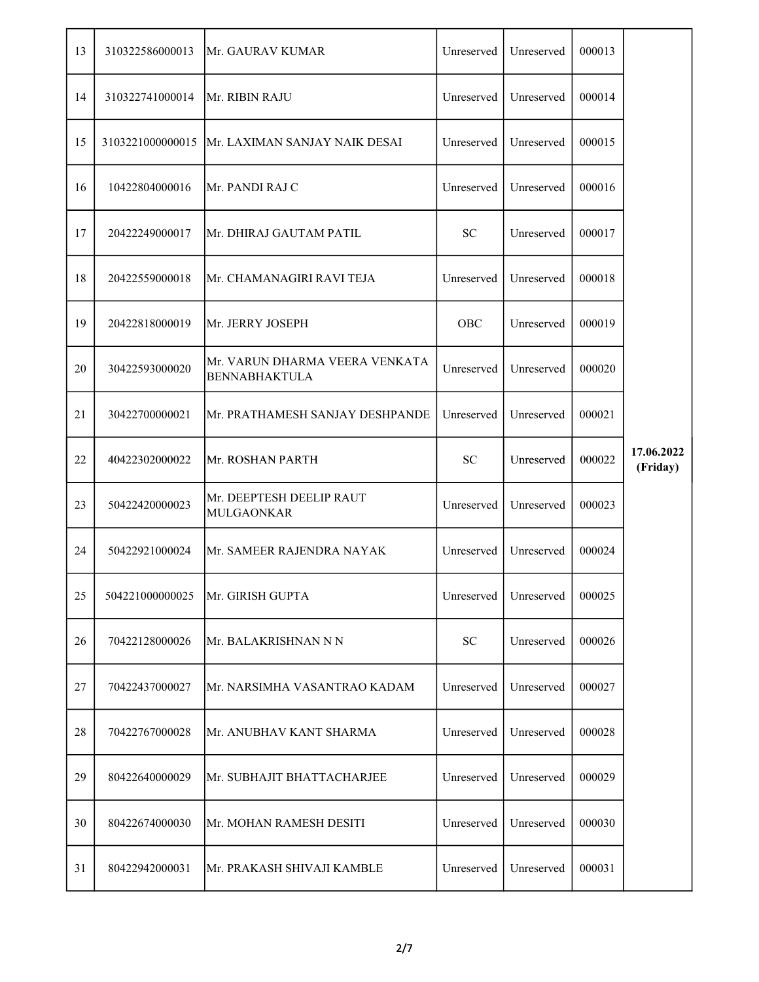| 13 | 310322586000013  | Mr. GAURAV KUMAR                                       | Unreserved | Unreserved | 000013 |                        |
|----|------------------|--------------------------------------------------------|------------|------------|--------|------------------------|
| 14 | 310322741000014  | Mr. RIBIN RAJU                                         | Unreserved | Unreserved | 000014 |                        |
| 15 | 3103221000000015 | Mr. LAXIMAN SANJAY NAIK DESAI                          | Unreserved | Unreserved | 000015 |                        |
| 16 | 10422804000016   | Mr. PANDI RAJ C                                        | Unreserved | Unreserved | 000016 |                        |
| 17 | 20422249000017   | Mr. DHIRAJ GAUTAM PATIL                                | ${\rm SC}$ | Unreserved | 000017 |                        |
| 18 | 20422559000018   | Mr. CHAMANAGIRI RAVI TEJA                              | Unreserved | Unreserved | 000018 |                        |
| 19 | 20422818000019   | Mr. JERRY JOSEPH                                       | OBC        | Unreserved | 000019 |                        |
| 20 | 30422593000020   | Mr. VARUN DHARMA VEERA VENKATA<br><b>BENNABHAKTULA</b> | Unreserved | Unreserved | 000020 |                        |
| 21 | 30422700000021   | Mr. PRATHAMESH SANJAY DESHPANDE                        | Unreserved | Unreserved | 000021 |                        |
| 22 | 40422302000022   | Mr. ROSHAN PARTH                                       | ${\bf SC}$ | Unreserved | 000022 | 17.06.2022<br>(Friday) |
| 23 | 50422420000023   | Mr. DEEPTESH DEELIP RAUT<br>MULGAONKAR                 | Unreserved | Unreserved | 000023 |                        |
| 24 | 50422921000024   | Mr. SAMEER RAJENDRA NAYAK                              | Unreserved | Unreserved | 000024 |                        |
| 25 | 504221000000025  | Mr. GIRISH GUPTA                                       | Unreserved | Unreserved | 000025 |                        |
| 26 | 70422128000026   | Mr. BALAKRISHNAN N N                                   | ${\rm SC}$ | Unreserved | 000026 |                        |
| 27 | 70422437000027   | Mr. NARSIMHA VASANTRAO KADAM                           | Unreserved | Unreserved | 000027 |                        |
| 28 | 70422767000028   | Mr. ANUBHAV KANT SHARMA                                | Unreserved | Unreserved | 000028 |                        |
| 29 | 80422640000029   | Mr. SUBHAJIT BHATTACHARJEE                             | Unreserved | Unreserved | 000029 |                        |
| 30 | 80422674000030   | Mr. MOHAN RAMESH DESITI                                | Unreserved | Unreserved | 000030 |                        |
| 31 | 80422942000031   | Mr. PRAKASH SHIVAJI KAMBLE                             | Unreserved | Unreserved | 000031 |                        |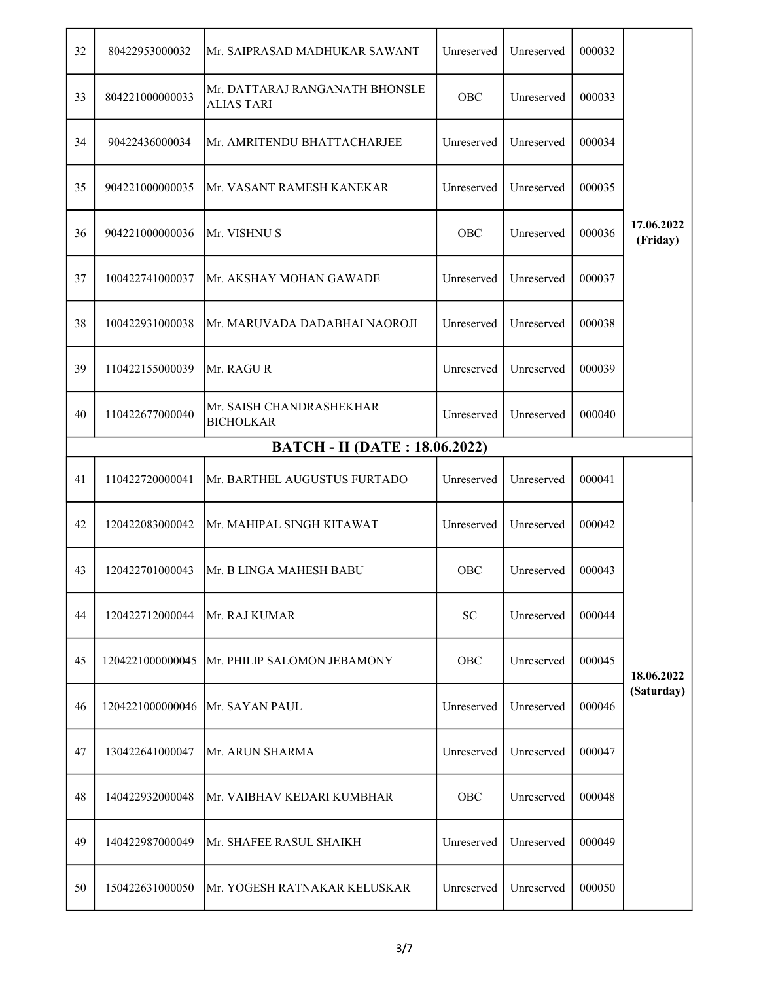| 32 | 80422953000032   | Mr. SAIPRASAD MADHUKAR SAWANT                       | Unreserved | Unreserved | 000032 |                        |
|----|------------------|-----------------------------------------------------|------------|------------|--------|------------------------|
| 33 | 804221000000033  | Mr. DATTARAJ RANGANATH BHONSLE<br><b>ALIAS TARI</b> | OBC        | Unreserved | 000033 |                        |
| 34 | 90422436000034   | Mr. AMRITENDU BHATTACHARJEE                         | Unreserved | Unreserved | 000034 |                        |
| 35 | 904221000000035  | Mr. VASANT RAMESH KANEKAR                           | Unreserved | Unreserved | 000035 |                        |
| 36 | 904221000000036  | Mr. VISHNU S                                        | OBC        | Unreserved | 000036 | 17.06.2022<br>(Friday) |
| 37 | 100422741000037  | Mr. AKSHAY MOHAN GAWADE                             | Unreserved | Unreserved | 000037 |                        |
| 38 | 100422931000038  | Mr. MARUVADA DADABHAI NAOROJI                       | Unreserved | Unreserved | 000038 |                        |
| 39 | 110422155000039  | Mr. RAGUR                                           | Unreserved | Unreserved | 000039 |                        |
| 40 | 110422677000040  | Mr. SAISH CHANDRASHEKHAR<br><b>BICHOLKAR</b>        | Unreserved | Unreserved | 000040 |                        |
|    |                  | <b>BATCH - II (DATE: 18.06.2022)</b>                |            |            |        |                        |
| 41 | 110422720000041  | Mr. BARTHEL AUGUSTUS FURTADO                        | Unreserved | Unreserved | 000041 |                        |
| 42 | 120422083000042  | Mr. MAHIPAL SINGH KITAWAT                           | Unreserved | Unreserved | 000042 |                        |
| 43 | 120422701000043  | Mr. B LINGA MAHESH BABU                             | OBC        | Unreserved | 000043 |                        |
| 44 | 120422712000044  | Mr. RAJ KUMAR                                       | SC         | Unreserved | 000044 |                        |
| 45 | 1204221000000045 | Mr. PHILIP SALOMON JEBAMONY                         | OBC        | Unreserved | 000045 | 18.06.2022             |
|    |                  |                                                     |            |            |        |                        |
| 46 | 1204221000000046 | Mr. SAYAN PAUL                                      | Unreserved | Unreserved | 000046 | (Saturday)             |
| 47 | 130422641000047  | Mr. ARUN SHARMA                                     | Unreserved | Unreserved | 000047 |                        |
| 48 | 140422932000048  | Mr. VAIBHAV KEDARI KUMBHAR                          | OBC        | Unreserved | 000048 |                        |
| 49 | 140422987000049  | Mr. SHAFEE RASUL SHAIKH                             | Unreserved | Unreserved | 000049 |                        |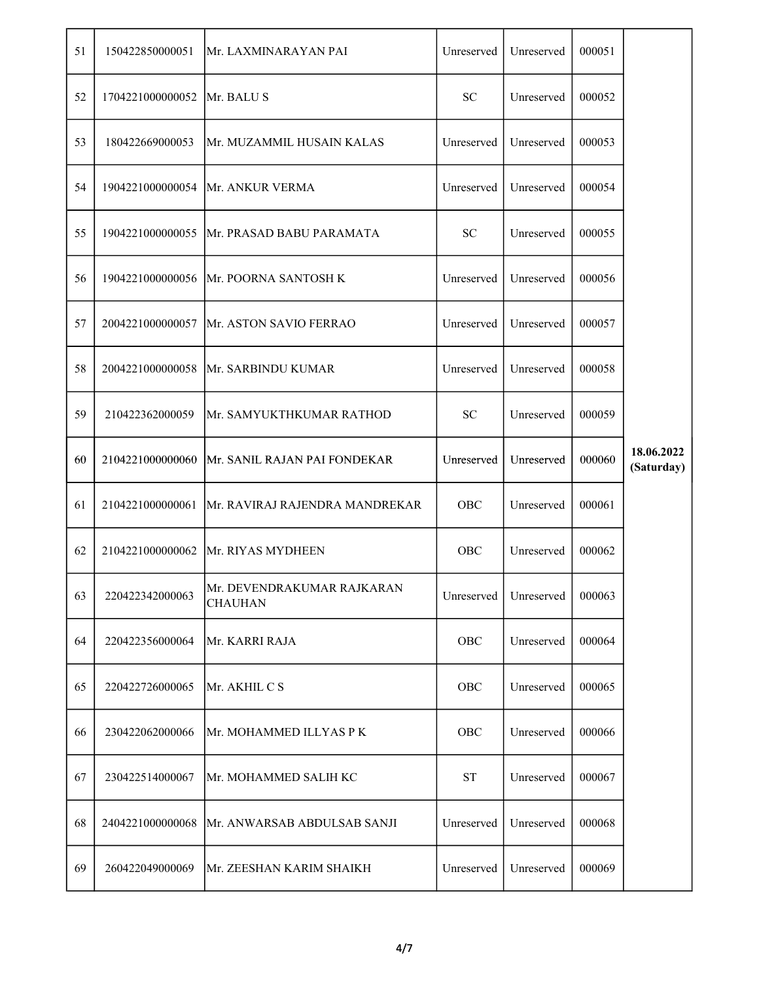| 51 | 150422850000051  | Mr. LAXMINARAYAN PAI                         | Unreserved          | Unreserved | 000051 |                          |
|----|------------------|----------------------------------------------|---------------------|------------|--------|--------------------------|
| 52 | 1704221000000052 | Mr. BALU S                                   | <b>SC</b>           | Unreserved | 000052 |                          |
| 53 | 180422669000053  | Mr. MUZAMMIL HUSAIN KALAS                    | Unreserved          | Unreserved | 000053 |                          |
| 54 | 1904221000000054 | Mr. ANKUR VERMA                              | Unreserved          | Unreserved | 000054 |                          |
| 55 | 1904221000000055 | Mr. PRASAD BABU PARAMATA                     | <b>SC</b>           | Unreserved | 000055 |                          |
| 56 | 1904221000000056 | Mr. POORNA SANTOSH K                         | Unreserved          | Unreserved | 000056 |                          |
| 57 | 2004221000000057 | Mr. ASTON SAVIO FERRAO                       | Unreserved          | Unreserved | 000057 |                          |
| 58 | 2004221000000058 | Mr. SARBINDU KUMAR                           | Unreserved          | Unreserved | 000058 |                          |
| 59 | 210422362000059  | Mr. SAMYUKTHKUMAR RATHOD                     | <b>SC</b>           | Unreserved | 000059 |                          |
| 60 | 2104221000000060 | Mr. SANIL RAJAN PAI FONDEKAR                 | Unreserved          | Unreserved | 000060 | 18.06.2022<br>(Saturday) |
| 61 | 2104221000000061 | Mr. RAVIRAJ RAJENDRA MANDREKAR               | OBC                 | Unreserved | 000061 |                          |
| 62 | 2104221000000062 | Mr. RIYAS MYDHEEN                            | OBC                 | Unreserved | 000062 |                          |
| 63 | 220422342000063  | Mr. DEVENDRAKUMAR RAJKARAN<br><b>CHAUHAN</b> | Unreserved          | Unreserved | 000063 |                          |
| 64 | 220422356000064  | Mr. KARRI RAJA                               | OBC                 | Unreserved | 000064 |                          |
| 65 | 220422726000065  | Mr. AKHIL C S                                | OBC                 | Unreserved | 000065 |                          |
| 66 | 230422062000066  | Mr. MOHAMMED ILLYAS P K                      | OBC                 | Unreserved | 000066 |                          |
| 67 | 230422514000067  | Mr. MOHAMMED SALIH KC                        | $\operatorname{ST}$ | Unreserved | 000067 |                          |
| 68 | 2404221000000068 | Mr. ANWARSAB ABDULSAB SANJI                  | Unreserved          | Unreserved | 000068 |                          |
| 69 | 260422049000069  | Mr. ZEESHAN KARIM SHAIKH                     | Unreserved          | Unreserved | 000069 |                          |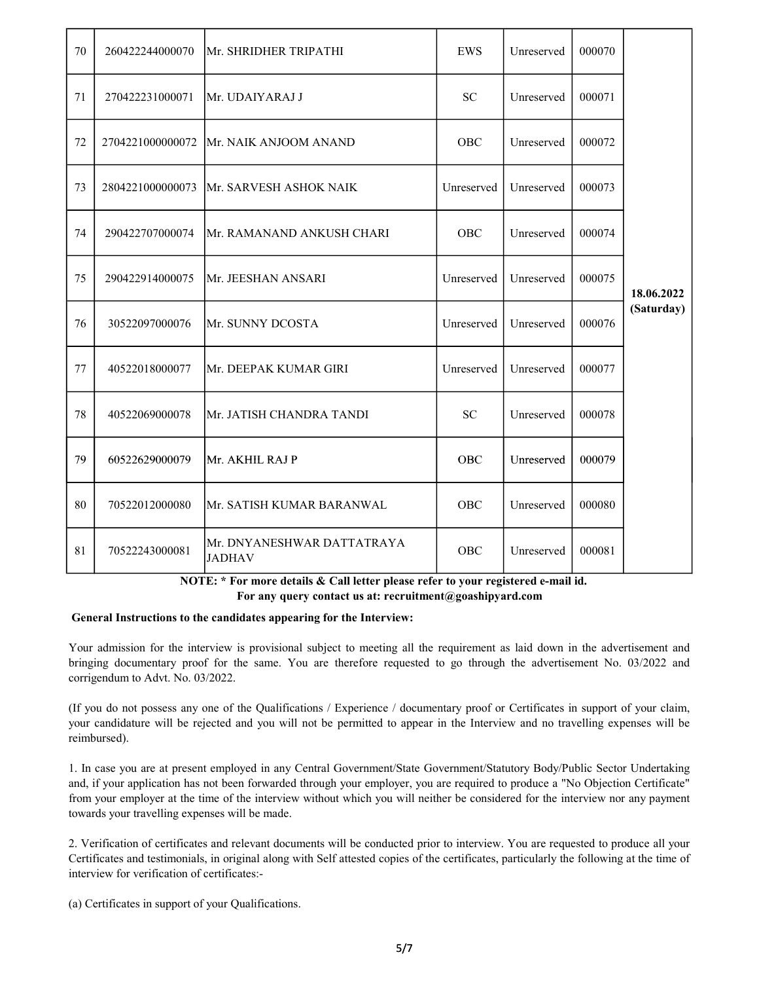| 70 | 260422244000070  | Mr. SHRIDHER TRIPATHI                       | EWS        | Unreserved | 000070 |            |
|----|------------------|---------------------------------------------|------------|------------|--------|------------|
| 71 | 270422231000071  | Mr. UDAIYARAJ J                             | SC         | Unreserved | 000071 |            |
| 72 | 2704221000000072 | Mr. NAIK ANJOOM ANAND                       | OBC        | Unreserved | 000072 |            |
| 73 | 2804221000000073 | Mr. SARVESH ASHOK NAIK                      | Unreserved | Unreserved | 000073 |            |
| 74 | 290422707000074  | Mr. RAMANAND ANKUSH CHARI                   | <b>OBC</b> | Unreserved | 000074 |            |
| 75 | 290422914000075  | Mr. JEESHAN ANSARI                          | Unreserved | Unreserved | 000075 | 18.06.2022 |
| 76 | 30522097000076   | Mr. SUNNY DCOSTA                            | Unreserved | Unreserved | 000076 | (Saturday) |
| 77 | 40522018000077   | Mr. DEEPAK KUMAR GIRI                       | Unreserved | Unreserved | 000077 |            |
| 78 | 40522069000078   | Mr. JATISH CHANDRA TANDI                    | <b>SC</b>  | Unreserved | 000078 |            |
| 79 | 60522629000079   | Mr. AKHIL RAJ P                             | OBC        | Unreserved | 000079 |            |
| 80 | 70522012000080   | Mr. SATISH KUMAR BARANWAL                   | <b>OBC</b> | Unreserved | 000080 |            |
| 81 | 70522243000081   | Mr. DNYANESHWAR DATTATRAYA<br><b>JADHAV</b> | <b>OBC</b> | Unreserved | 000081 |            |

 NOTE: \* For more details & Call letter please refer to your registered e-mail id. For any query contact us at: recruitment@goashipyard.com

#### General Instructions to the candidates appearing for the Interview:

Your admission for the interview is provisional subject to meeting all the requirement as laid down in the advertisement and bringing documentary proof for the same. You are therefore requested to go through the advertisement No. 03/2022 and corrigendum to Advt. No. 03/2022.

(If you do not possess any one of the Qualifications / Experience / documentary proof or Certificates in support of your claim, your candidature will be rejected and you will not be permitted to appear in the Interview and no travelling expenses will be reimbursed).

1. In case you are at present employed in any Central Government/State Government/Statutory Body/Public Sector Undertaking and, if your application has not been forwarded through your employer, you are required to produce a "No Objection Certificate" from your employer at the time of the interview without which you will neither be considered for the interview nor any payment towards your travelling expenses will be made.

2. Verification of certificates and relevant documents will be conducted prior to interview. You are requested to produce all your Certificates and testimonials, in original along with Self attested copies of the certificates, particularly the following at the time of interview for verification of certificates:-

(a) Certificates in support of your Qualifications.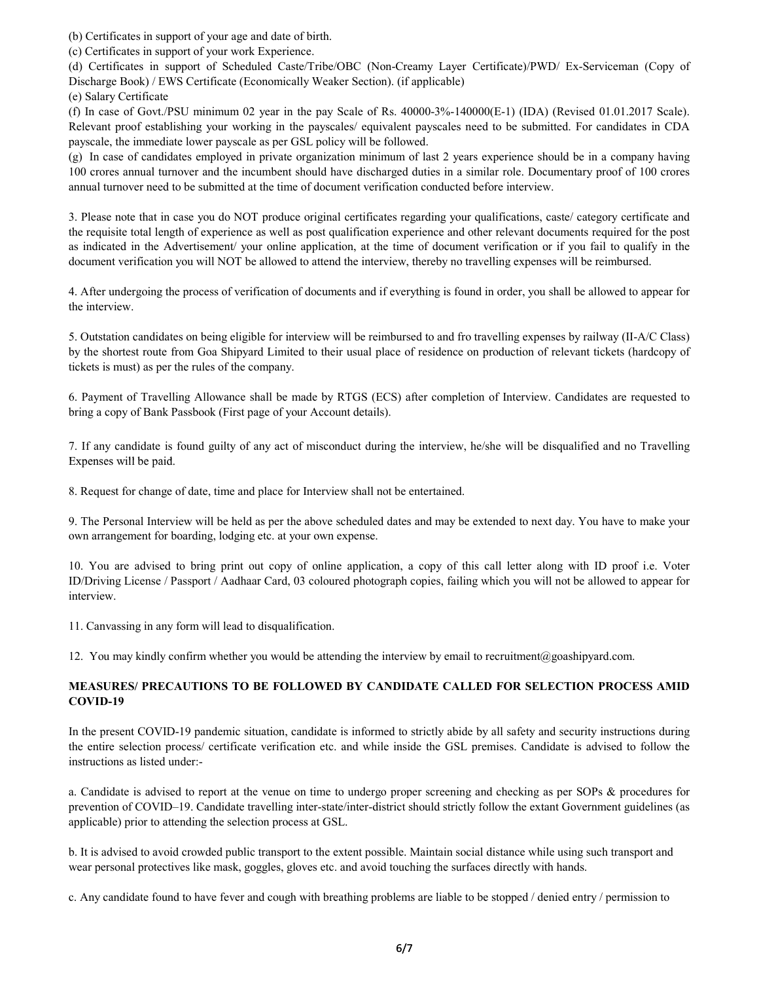(b) Certificates in support of your age and date of birth.

(c) Certificates in support of your work Experience.

(d) Certificates in support of Scheduled Caste/Tribe/OBC (Non-Creamy Layer Certificate)/PWD/ Ex-Serviceman (Copy of Discharge Book) / EWS Certificate (Economically Weaker Section). (if applicable)

(e) Salary Certificate

(f) In case of Govt./PSU minimum 02 year in the pay Scale of Rs. 40000-3%-140000(E-1) (IDA) (Revised 01.01.2017 Scale). Relevant proof establishing your working in the payscales/ equivalent payscales need to be submitted. For candidates in CDA payscale, the immediate lower payscale as per GSL policy will be followed.

(g) In case of candidates employed in private organization minimum of last 2 years experience should be in a company having 100 crores annual turnover and the incumbent should have discharged duties in a similar role. Documentary proof of 100 crores annual turnover need to be submitted at the time of document verification conducted before interview.

3. Please note that in case you do NOT produce original certificates regarding your qualifications, caste/ category certificate and the requisite total length of experience as well as post qualification experience and other relevant documents required for the post as indicated in the Advertisement/ your online application, at the time of document verification or if you fail to qualify in the document verification you will NOT be allowed to attend the interview, thereby no travelling expenses will be reimbursed.

4. After undergoing the process of verification of documents and if everything is found in order, you shall be allowed to appear for the interview.

5. Outstation candidates on being eligible for interview will be reimbursed to and fro travelling expenses by railway (II-A/C Class) by the shortest route from Goa Shipyard Limited to their usual place of residence on production of relevant tickets (hardcopy of tickets is must) as per the rules of the company.

6. Payment of Travelling Allowance shall be made by RTGS (ECS) after completion of Interview. Candidates are requested to bring a copy of Bank Passbook (First page of your Account details).

7. If any candidate is found guilty of any act of misconduct during the interview, he/she will be disqualified and no Travelling Expenses will be paid.

8. Request for change of date, time and place for Interview shall not be entertained.

9. The Personal Interview will be held as per the above scheduled dates and may be extended to next day. You have to make your own arrangement for boarding, lodging etc. at your own expense.

10. You are advised to bring print out copy of online application, a copy of this call letter along with ID proof i.e. Voter ID/Driving License / Passport / Aadhaar Card, 03 coloured photograph copies, failing which you will not be allowed to appear for interview.

11. Canvassing in any form will lead to disqualification.

12. You may kindly confirm whether you would be attending the interview by email to recruitment@goashipyard.com.

## MEASURES/ PRECAUTIONS TO BE FOLLOWED BY CANDIDATE CALLED FOR SELECTION PROCESS AMID COVID-19

In the present COVID-19 pandemic situation, candidate is informed to strictly abide by all safety and security instructions during the entire selection process/ certificate verification etc. and while inside the GSL premises. Candidate is advised to follow the instructions as listed under:-

a. Candidate is advised to report at the venue on time to undergo proper screening and checking as per SOPs & procedures for prevention of COVID–19. Candidate travelling inter-state/inter-district should strictly follow the extant Government guidelines (as applicable) prior to attending the selection process at GSL.

b. It is advised to avoid crowded public transport to the extent possible. Maintain social distance while using such transport and wear personal protectives like mask, goggles, gloves etc. and avoid touching the surfaces directly with hands.

c. Any candidate found to have fever and cough with breathing problems are liable to be stopped / denied entry / permission to